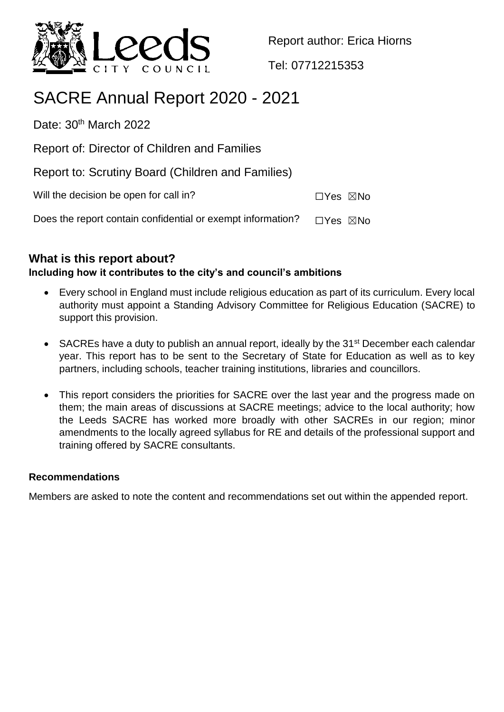

Report author: Erica Hiorns

Tel: 07712215353

# SACRE Annual Report 2020 - 2021

Date: 30<sup>th</sup> March 2022

Report of: Director of Children and Families

Report to: Scrutiny Board (Children and Families)

Will the decision be open for call in? ☐Yes ☒No

Does the report contain confidential or exempt information?  $□Yes \triangle$ No

# **What is this report about?**

## **Including how it contributes to the city's and council's ambitions**

- Every school in England must include religious education as part of its curriculum. Every local authority must appoint a Standing Advisory Committee for Religious Education (SACRE) to support this provision.
- SACREs have a duty to publish an annual report, ideally by the 31<sup>st</sup> December each calendar year. This report has to be sent to the Secretary of State for Education as well as to key partners, including schools, teacher training institutions, libraries and councillors.
- This report considers the priorities for SACRE over the last year and the progress made on them; the main areas of discussions at SACRE meetings; advice to the local authority; how the Leeds SACRE has worked more broadly with other SACREs in our region; minor amendments to the locally agreed syllabus for RE and details of the professional support and training offered by SACRE consultants.

#### **Recommendations**

Members are asked to note the content and recommendations set out within the appended report.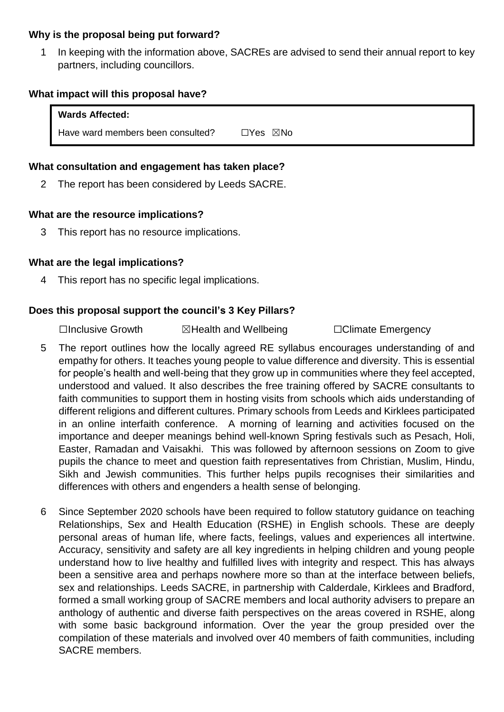#### **Why is the proposal being put forward?**

In keeping with the information above, SACREs are advised to send their annual report to key partners, including councillors.

#### **What impact will this proposal have?**

| <b>Wards Affected:</b>            |          |
|-----------------------------------|----------|
| Have ward members been consulted? | ⊡Yes ⊠No |

#### **What consultation and engagement has taken place?**

2 The report has been considered by Leeds SACRE.

#### **What are the resource implications?**

3 This report has no resource implications.

#### **What are the legal implications?**

4 This report has no specific legal implications.

#### **Does this proposal support the council's 3 Key Pillars?**

☐Inclusive Growth ☒Health and Wellbeing ☐Climate Emergency

- 5 The report outlines how the locally agreed RE syllabus encourages understanding of and empathy for others. It teaches young people to value difference and diversity. This is essential for people's health and well-being that they grow up in communities where they feel accepted, understood and valued. It also describes the free training offered by SACRE consultants to faith communities to support them in hosting visits from schools which aids understanding of different religions and different cultures. Primary schools from Leeds and Kirklees participated in an online interfaith conference. A morning of learning and activities focused on the importance and deeper meanings behind well-known Spring festivals such as Pesach, Holi, Easter, Ramadan and Vaisakhi. This was followed by afternoon sessions on Zoom to give pupils the chance to meet and question faith representatives from Christian, Muslim, Hindu, Sikh and Jewish communities. This further helps pupils recognises their similarities and differences with others and engenders a health sense of belonging.
- 6 Since September 2020 schools have been required to follow statutory guidance on teaching Relationships, Sex and Health Education (RSHE) in English schools. These are deeply personal areas of human life, where facts, feelings, values and experiences all intertwine. Accuracy, sensitivity and safety are all key ingredients in helping children and young people understand how to live healthy and fulfilled lives with integrity and respect. This has always been a sensitive area and perhaps nowhere more so than at the interface between beliefs, sex and relationships. Leeds SACRE, in partnership with Calderdale, Kirklees and Bradford, formed a small working group of SACRE members and local authority advisers to prepare an anthology of authentic and diverse faith perspectives on the areas covered in RSHE, along with some basic background information. Over the year the group presided over the compilation of these materials and involved over 40 members of faith communities, including SACRE members.